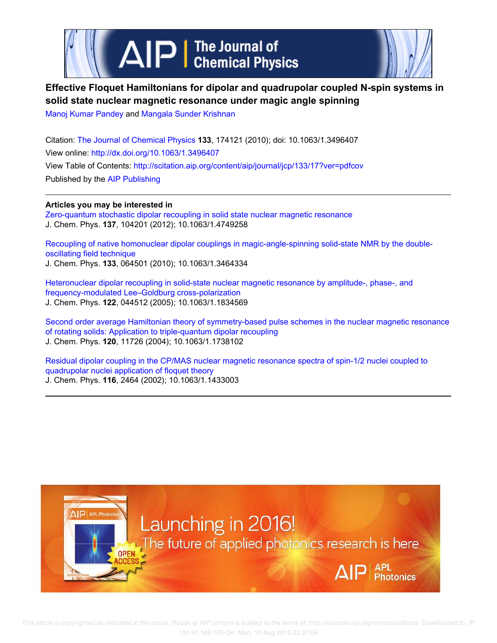

# **Effective Floquet Hamiltonians for dipolar and quadrupolar coupled N-spin systems in solid state nuclear magnetic resonance under magic angle spinning**

Manoj Kumar Pandey and Mangala Sunder Krishnan

Citation: The Journal of Chemical Physics **133**, 174121 (2010); doi: 10.1063/1.3496407 View online: http://dx.doi.org/10.1063/1.3496407 View Table of Contents: http://scitation.aip.org/content/aip/journal/jcp/133/17?ver=pdfcov Published by the AIP Publishing

**Articles you may be interested in** Zero-quantum stochastic dipolar recoupling in solid state nuclear magnetic resonance

J. Chem. Phys. **137**, 104201 (2012); 10.1063/1.4749258

Recoupling of native homonuclear dipolar couplings in magic-angle-spinning solid-state NMR by the doubleoscillating field technique J. Chem. Phys. **133**, 064501 (2010); 10.1063/1.3464334

Heteronuclear dipolar recoupling in solid-state nuclear magnetic resonance by amplitude-, phase-, and frequency-modulated Lee–Goldburg cross-polarization J. Chem. Phys. **122**, 044512 (2005); 10.1063/1.1834569

Second order average Hamiltonian theory of symmetry-based pulse schemes in the nuclear magnetic resonance of rotating solids: Application to triple-quantum dipolar recoupling J. Chem. Phys. **120**, 11726 (2004); 10.1063/1.1738102

Residual dipolar coupling in the CP/MAS nuclear magnetic resonance spectra of spin-1/2 nuclei coupled to quadrupolar nuclei application of floquet theory J. Chem. Phys. **116**, 2464 (2002); 10.1063/1.1433003

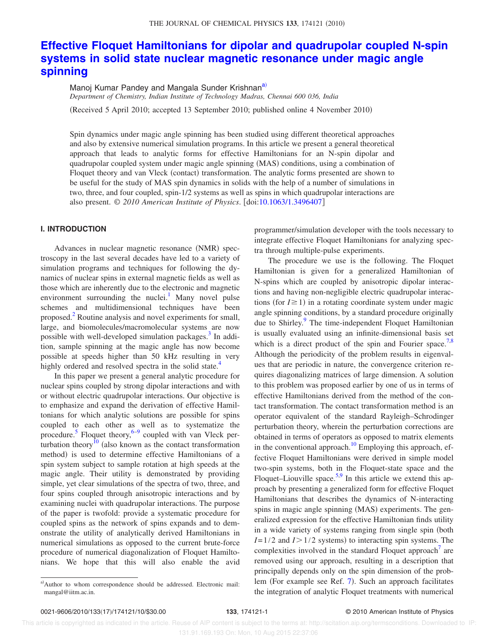# **Effective Floquet Hamiltonians for dipolar and quadrupolar coupled N-spin systems in solid state nuclear magnetic resonance under magic angle spinning**

Manoj Kumar Pandey and Mangala Sunder Krishnan<sup>a)</sup> *Department of Chemistry, Indian Institute of Technology Madras, Chennai 600 036, India*

(Received 5 April 2010; accepted 13 September 2010; published online 4 November 2010)

Spin dynamics under magic angle spinning has been studied using different theoretical approaches and also by extensive numerical simulation programs. In this article we present a general theoretical approach that leads to analytic forms for effective Hamiltonians for an N-spin dipolar and quadrupolar coupled system under magic angle spinning (MAS) conditions, using a combination of Floquet theory and van Vleck (contact) transformation. The analytic forms presented are shown to be useful for the study of MAS spin dynamics in solids with the help of a number of simulations in two, three, and four coupled, spin-1/2 systems as well as spins in which quadrupolar interactions are also present. © *2010 American Institute of Physics*. doi:10.1063/1.3496407

# **I. INTRODUCTION**

Advances in nuclear magnetic resonance (NMR) spectroscopy in the last several decades have led to a variety of simulation programs and techniques for following the dynamics of nuclear spins in external magnetic fields as well as those which are inherently due to the electronic and magnetic environment surrounding the nuclei.<sup>1</sup> Many novel pulse schemes and multidimensional techniques have been proposed.<sup>2</sup> Routine analysis and novel experiments for small, large, and biomolecules/macromolecular systems are now possible with well-developed simulation packages.<sup>3</sup> In addition, sample spinning at the magic angle has now become possible at speeds higher than 50 kHz resulting in very highly ordered and resolved spectra in the solid state.<sup>4</sup>

In this paper we present a general analytic procedure for nuclear spins coupled by strong dipolar interactions and with or without electric quadrupolar interactions. Our objective is to emphasize and expand the derivation of effective Hamiltonians for which analytic solutions are possible for spins coupled to each other as well as to systematize the procedure.<sup>5</sup> Floquet theory,<sup>6–9</sup> coupled with van Vleck perturbation theory<sup>10</sup> (also known as the contact transformation method) is used to determine effective Hamiltonians of a spin system subject to sample rotation at high speeds at the magic angle. Their utility is demonstrated by providing simple, yet clear simulations of the spectra of two, three, and four spins coupled through anisotropic interactions and by examining nuclei with quadrupolar interactions. The purpose of the paper is twofold: provide a systematic procedure for coupled spins as the network of spins expands and to demonstrate the utility of analytically derived Hamiltonians in numerical simulations as opposed to the current brute-force procedure of numerical diagonalization of Floquet Hamiltonians. We hope that this will also enable the avid

programmer/simulation developer with the tools necessary to integrate effective Floquet Hamiltonians for analyzing spectra through multiple-pulse experiments.

The procedure we use is the following. The Floquet Hamiltonian is given for a generalized Hamiltonian of N-spins which are coupled by anisotropic dipolar interactions and having non-negligible electric quadrupolar interactions (for  $I \ge 1$ ) in a rotating coordinate system under magic angle spinning conditions, by a standard procedure originally due to Shirley.<sup>9</sup> The time-independent Floquet Hamiltonian is usually evaluated using an infinite-dimensional basis set which is a direct product of the spin and Fourier space.<sup>7,8</sup> Although the periodicity of the problem results in eigenvalues that are periodic in nature, the convergence criterion requires diagonalizing matrices of large dimension. A solution to this problem was proposed earlier by one of us in terms of effective Hamiltonians derived from the method of the contact transformation. The contact transformation method is an operator equivalent of the standard Rayleigh–Schrodinger perturbation theory, wherein the perturbation corrections are obtained in terms of operators as opposed to matrix elements in the conventional approach.<sup>10</sup> Employing this approach, effective Floquet Hamiltonians were derived in simple model two-spin systems, both in the Floquet-state space and the Floquet–Liouville space.<sup>5,9</sup> In this article we extend this approach by presenting a generalized form for effective Floquet Hamiltonians that describes the dynamics of N-interacting spins in magic angle spinning (MAS) experiments. The generalized expression for the effective Hamiltonian finds utility in a wide variety of systems ranging from single spin (both  $I=1/2$  and  $I>1/2$  systems) to interacting spin systems. The complexities involved in the standard Floquet approach<sup>7</sup> are removed using our approach, resulting in a description that principally depends only on the spin dimension of the problem (For example see Ref. 7). Such an approach facilitates the integration of analytic Floquet treatments with numerical

a)Author to whom correspondence should be addressed. Electronic mail: mangal@iitm.ac.in.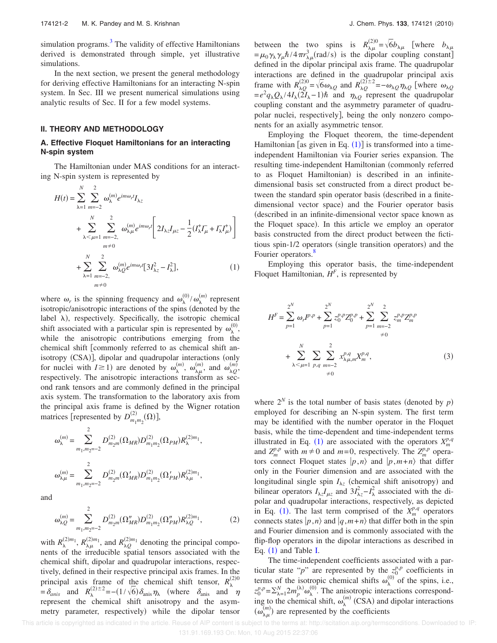simulation programs.<sup>3</sup> The validity of effective Hamiltonians derived is demonstrated through simple, yet illustrative simulations.

In the next section, we present the general methodology for deriving effective Hamiltonians for an interacting N-spin system. In Sec. III we present numerical simulations using analytic results of Sec. II for a few model systems.

#### **II. THEORY AND METHODOLOGY**

# **A. Effective Floquet Hamiltonians for an interacting N-spin system**

The Hamiltonian under MAS conditions for an interacting N-spin system is represented by

$$
H(t) = \sum_{\lambda=1}^{N} \sum_{m=-2}^{2} \omega_{\lambda}^{(m)} e^{im\omega_{r}t} I_{\lambda z}
$$
  
+ 
$$
\sum_{\lambda < \mu=1}^{N} \sum_{m=-2}^{2} \omega_{\lambda\mu}^{(m)} e^{im\omega_{r}t} \left[ 2I_{\lambda z} I_{\mu z} - \frac{1}{2} (I_{\lambda}^{+} I_{\mu}^{+} + I_{\lambda}^{-} I_{\mu}^{+}) \right]
$$
  
+ 
$$
\sum_{\lambda=1}^{N} \sum_{m=-2}^{2} \omega_{\lambda Q}^{(m)} e^{im\omega_{r}t} [3I_{\lambda z}^{2} - I_{\lambda}^{2}],
$$
 (1)

where  $\omega_r$  is the spinning frequency and  $\omega_\lambda^{(0)}/\omega_\lambda^{(m)}$  represent isotropic/anisotropic interactions of the spins (denoted by the label  $\lambda$ ), respectively. Specifically, the isotropic chemical shift associated with a particular spin is represented by  $\omega_{\lambda}^{(0)}$ , while the anisotropic contributions emerging from the chemical shift [commonly referred to as chemical shift anisotropy (CSA)], dipolar and quadrupolar interactions (only for nuclei with  $I \ge 1$ ) are denoted by  $\omega_{\lambda}^{(m)}$ ,  $\omega_{\lambda\mu}^{(m)}$ , and  $\omega_{\lambda Q}^{(m)}$ , respectively. The anisotropic interactions transform as second rank tensors and are commonly defined in the principal axis system. The transformation to the laboratory axis from the principal axis frame is defined by the Wigner rotation matrices [represented by  $D_{m_1m_2}^{(2)}(\Omega)$ ],

$$
\omega_{\lambda}^{(m)} = \sum_{m_1,m_2=-2}^{2} D_{m_2m}^{(2)}(\Omega_{MR}) D_{m_1m_2}^{(2)}(\Omega_{PM}) R_{\lambda}^{(2)m_1},
$$
  

$$
\omega_{\lambda\mu}^{(m)} = \sum_{m_1,m_2=-2}^{2} D_{m_2m}^{(2)}(\Omega'_{MR}) D_{m_1m_2}^{(2)}(\Omega'_{PM}) R_{\lambda\mu}^{(2)m_1},
$$

and

$$
\omega_{\lambda Q}^{(m)} = \sum_{m_1, m_2 = -2}^{2} D_{m_2 m}^{(2)} (\Omega_{MR}^{"}) D_{m_1 m_2}^{(2)} (\Omega_{PM}^{"}) R_{\lambda Q}^{(2)m_1},
$$
 (2)

with  $R_{\lambda}^{(2)m_1}$ ,  $R_{\lambda\mu}^{(2)m_1}$ , and  $R_{\lambda Q}^{(2)m_1}$  denoting the principal components of the irreducible spatial tensors associated with the chemical shift, dipolar and quadrupolar interactions, respectively, defined in their respective principal axis frames. In the principal axis frame of the chemical shift tensor,  $R_{\lambda}^{(2)0}$  $=\delta_{anis}$  and  $R_{\lambda}^{(2)\pm 2} = -(1/\sqrt{6})\delta_{anis}\eta_{\lambda}$  (where  $\delta_{anis}$  and  $\eta$ represent the chemical shift anisotropy and the asymmetry parameter, respectively) while the dipolar tensor

between the two spins is  $R_{\lambda\mu}^{(2)0} = \sqrt{6}b_{\lambda\mu}$  [where  $b_{\lambda\mu}$  $=\mu_0 \gamma_\lambda \gamma_\mu \hbar / 4 \pi r_{\lambda \mu}^3$  (rad/s) is the dipolar coupling constant] defined in the dipolar principal axis frame. The quadrupolar interactions are defined in the quadrupolar principal axis frame with  $R_{\lambda Q}^{(2)0} = \sqrt{6} \omega_{\lambda Q}$  and  $R_{\lambda Q}^{(2)\pm 2} = -\omega_{\lambda Q} \eta_{\lambda Q}$  [where  $\omega_{\lambda Q}$  $=e^2 q_\lambda Q_\lambda/4I_\lambda (2I_\lambda - 1)\hbar$  and  $\eta_{\lambda Q}$  represent the quadrupolar coupling constant and the asymmetry parameter of quadrupolar nuclei, respectively, being the only nonzero components for an axially asymmetric tensor.

Employing the Floquet theorem, the time-dependent Hamiltonian [as given in Eq.  $(1)$ ] is transformed into a timeindependent Hamiltonian via Fourier series expansion. The resulting time-independent Hamiltonian (commonly referred to as Floquet Hamiltonian) is described in an infinitedimensional basis set constructed from a direct product between the standard spin operator basis (described in a finitedimensional vector space) and the Fourier operator basis -described in an infinite-dimensional vector space known as the Floquet space). In this article we employ an operator basis constructed from the direct product between the fictitious spin-1/2 operators (single transition operators) and the Fourier operators.<sup>8</sup>

Employing this operator basis, the time-independent Floquet Hamiltonian,  $H^F$ , is represented by

$$
H^{F} = \sum_{p=1}^{2^{N}} \omega_{r} I^{p,p} + \sum_{p=1}^{2^{N}} z_{0}^{p,p} Z_{0}^{p,p} + \sum_{p=1}^{2^{N}} \sum_{m=-2}^{2} z_{m}^{p,p} Z_{m}^{p,p}
$$
  
+ 
$$
\sum_{\lambda \leq \mu=1}^{N} \sum_{p,q} \sum_{m=-2}^{2} x_{\lambda\mu,m}^{p,q} X_{m}^{p,q},
$$
  
\neq 0 (3)

where  $2^N$  is the total number of basis states (denoted by  $p$ ) employed for describing an N-spin system. The first term may be identified with the number operator in the Floquet basis, while the time-dependent and time-independent terms illustrated in Eq. (1) are associated with the operators  $X_m^{p,q}$ and  $Z_m^{p,p}$  with  $m \neq 0$  and  $m=0$ , respectively. The  $Z_m^{p,p}$  operators connect Floquet states  $|p,n\rangle$  and  $|p,m+n\rangle$  that differ only in the Fourier dimension and are associated with the longitudinal single spin  $I_{\lambda z}$  (chemical shift anisotropy) and bilinear operators  $I_{\lambda z}I_{\mu z}$  and  $3I_{\lambda z}^2 - I_{\lambda}^2$  associated with the dipolar and quadrupolar interactions, respectively, as depicted in Eq. (1). The last term comprised of the  $X_m^{p,q}$  operators connects states  $|p,n\rangle$  and  $|q,m+n\rangle$  that differ both in the spin and Fourier dimension and is commonly associated with the flip-flop operators in the dipolar interactions as described in Eq.  $(1)$  and Table I.

The time-independent coefficients associated with a particular state "*p*" are represented by the  $z_0^{p,p}$  coefficients in terms of the isotropic chemical shifts  $\omega_{\lambda}^{(0)}$  of the spins, i.e.,  $z_0^{p,p} = \sum_{\lambda=1}^{N} 2m_p^{(\lambda)} \omega_\lambda^{(0)}$ . The anisotropic interactions corresponding to the chemical shift,  $\omega_{\lambda}^{(m)}$  (CSA) and dipolar interactions  $\widetilde{(\omega_{\lambda\mu}^{(m)})}$  are represented by the coefficients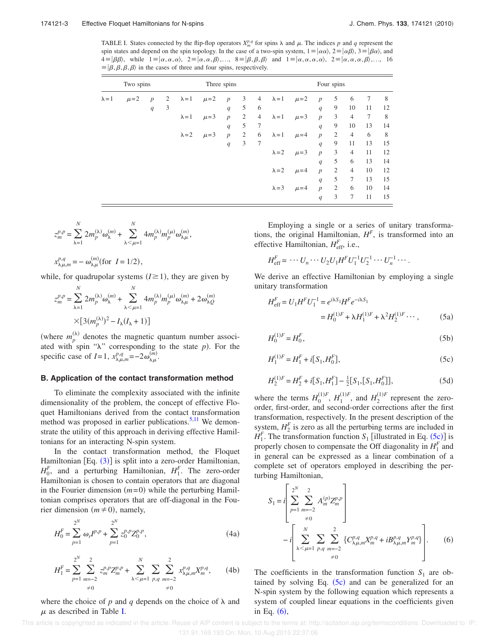TABLE I. States connected by the flip-flop operators  $X_m^{p,q}$  for spins  $\lambda$  and  $\mu$ . The indices  $p$  and  $q$  represent the spin states and depend on the spin topology. In the case of a two-spin system,  $1 = |\alpha\alpha\rangle$ ,  $2 = |\alpha\beta\rangle$ ,  $3 = |\beta\alpha\rangle$ , and  $A = |\beta\beta\rangle$ , while  $1 = |\alpha, \alpha, \alpha\rangle$ ,  $2 = |\alpha, \alpha, \beta\rangle$ ,...,  $8 = |\beta, \beta, \beta\rangle$  and  $1 = |\alpha, \alpha, \alpha, \alpha\rangle$ ,  $2 = |\alpha, \alpha, \alpha, \beta\rangle$ ,..., 16  $\equiv \vert \beta, \beta, \beta, \beta \rangle$  in the cases of three and four spins, respectively.

| Two spins     |           |                  |   | Three spins   |           |                  |                |   | Four spins    |           |                  |                |                |    |    |
|---------------|-----------|------------------|---|---------------|-----------|------------------|----------------|---|---------------|-----------|------------------|----------------|----------------|----|----|
| $\lambda = 1$ | $\mu = 2$ | $\boldsymbol{p}$ | 2 | $\lambda = 1$ | $\mu = 2$ | $\boldsymbol{p}$ | 3              | 4 | $\lambda = 1$ | $\mu = 2$ | $\boldsymbol{p}$ | 5              | 6              | 7  | 8  |
|               |           | q                | 3 |               |           | q                | 5              | 6 |               |           | q                | 9              | 10             | 11 | 12 |
|               |           |                  |   | $\lambda = 1$ | $\mu = 3$ | $\boldsymbol{p}$ | 2              | 4 | $\lambda = 1$ | $\mu = 3$ | $\overline{p}$   | 3              | $\overline{4}$ | 7  | 8  |
|               |           |                  |   |               |           | q                | 5              | 7 |               |           | q                | 9              | 10             | 13 | 14 |
|               |           |                  |   | $\lambda = 2$ | $\mu = 3$ | $\boldsymbol{p}$ | $\mathfrak{2}$ | 6 | $\lambda = 1$ | $\mu = 4$ | $\boldsymbol{p}$ | $\mathfrak{2}$ | $\overline{4}$ | 6  | 8  |
|               |           |                  |   |               |           | q                | 3              | 7 |               |           | q                | 9              | 11             | 13 | 15 |
|               |           |                  |   |               |           |                  |                |   | $\lambda = 2$ | $\mu = 3$ | $\boldsymbol{p}$ | 3              | $\overline{4}$ | 11 | 12 |
|               |           |                  |   |               |           |                  |                |   |               |           | q                | 5              | 6              | 13 | 14 |
|               |           |                  |   |               |           |                  |                |   | $\lambda = 2$ | $\mu = 4$ | $\overline{p}$   | $\mathfrak{2}$ | $\overline{4}$ | 10 | 12 |
|               |           |                  |   |               |           |                  |                |   |               |           | q                | 5              | 7              | 13 | 15 |
|               |           |                  |   |               |           |                  |                |   | $\lambda = 3$ | $\mu = 4$ | $\boldsymbol{p}$ | 2              | 6              | 10 | 14 |
|               |           |                  |   |               |           |                  |                |   |               |           | q                | 3              | 7              | 11 | 15 |

$$
z_m^{p,p} = \sum_{\lambda=1}^N 2m_p^{(\lambda)} \omega_{\lambda}^{(m)} + \sum_{\lambda \leq \mu=1}^N 4m_p^{(\lambda)} m_p^{(\mu)} \omega_{\lambda\mu}^{(m)},
$$

$$
x_{\lambda\mu,m}^{p,q} = -\omega_{\lambda\mu}^{(m)} \text{(for } I = 1/2),
$$

while, for quadrupolar systems  $(I \ge 1)$ , they are given by

$$
z_m^{p,p} = \sum_{\lambda=1}^N 2m_p^{(\lambda)} \omega_{\lambda}^{(m)} + \sum_{\lambda < \mu=1}^N 4m_p^{(\lambda)} m_p^{(\mu)} \omega_{\lambda\mu}^{(m)} + 2\omega_{\lambda Q}^{(m)}
$$

$$
\times [3(m_p^{(\lambda)})^2 - I_{\lambda}(I_{\lambda} + 1)]
$$

(where  $m_p^{(\lambda)}$  denotes the magnetic quantum number associated with spin " $\lambda$ " corresponding to the state  $p$ ). For the specific case of *I*=1,  $x_{\lambda\mu,m}^{p,q} = -2\omega_{\lambda\mu}^{(m)}$ .

#### **B. Application of the contact transformation method**

To eliminate the complexity associated with the infinite dimensionality of the problem, the concept of effective Floquet Hamiltonians derived from the contact transformation method was proposed in earlier publications.<sup>5,11</sup> We demonstrate the utility of this approach in deriving effective Hamiltonians for an interacting N-spin system.

In the contact transformation method, the Floquet Hamiltonian [Eq. (3)] is split into a zero-order Hamiltonian,  $H_0^F$ , and a perturbing Hamiltonian,  $H_1^F$ . The zero-order Hamiltonian is chosen to contain operators that are diagonal in the Fourier dimension  $(m=0)$  while the perturbing Hamiltonian comprises operators that are off-diagonal in the Fourier dimension  $(m \neq 0)$ , namely,

$$
H_0^F = \sum_{p=1}^{2^N} \omega_r I^{p,p} + \sum_{p=1}^{2^N} z_0^{p,p} Z_0^{p,p},\tag{4a}
$$

$$
H_1^F = \sum_{p=1}^{2^N} \sum_{m=-2}^2 z_m^{p,p} Z_m^{p,p} + \sum_{\lambda \le \mu=1}^N \sum_{p,q} \sum_{m=-2}^2 x_{\lambda \mu, m}^{p,q} X_m^{p,q}, \qquad (4b)
$$
  

$$
\neq 0
$$

where the choice of  $p$  and  $q$  depends on the choice of  $\lambda$  and  $\mu$  as described in Table I.

Employing a single or a series of unitary transformations, the original Hamiltonian,  $H^F$ , is transformed into an effective Hamiltonian,  $H_{\text{eff}}^F$ , i.e.,

$$
H_{\text{eff}}^F = \cdots U_n \cdots U_2 U_1 H^F U_1^{-1} U_2^{-1} \cdots U_n^{-1} \cdots
$$

We derive an effective Hamiltonian by employing a single unitary transformation

$$
H_{\text{eff}}^{F} = U_{1}H^{F}U_{1}^{-1} = e^{i\lambda S_{1}}H^{F}e^{-i\lambda S_{1}}
$$
  
=  $H_{0}^{(1)F} + \lambda H_{1}^{(1)F} + \lambda^{2}H_{2}^{(1)F} \cdots$ , (5a)

$$
H_0^{(1)F} = H_0^F,\tag{5b}
$$

$$
H_1^{(1)F} = H_1^F + i[S_1, H_0^F],\tag{5c}
$$

$$
H_2^{(1)F} = H_2^F + i[S_1, H_1^F] - \frac{1}{2}[S_1, [S_1, H_0^F]],
$$
\n(5d)

where the terms  $H_0^{(1)F}$ ,  $H_1^{(1)F}$ , and  $H_2^{(1)F}$  represent the zeroorder, first-order, and second-order corrections after the first transformation, respectively. In the present description of the system,  $H_2^F$  is zero as all the perturbing terms are included in  $H_1^F$ . The transformation function *S*<sub>1</sub> [illustrated in Eq. (5c)] is properly chosen to compensate the Off diagonality in  $H_1^F$  and in general can be expressed as a linear combination of a complete set of operators employed in describing the perturbing Hamiltonian,

$$
S_{1} = i \left[ \sum_{p=1}^{2^{N}} \sum_{m=-2}^{2} A_{m}^{(p)} Z_{m}^{p,p} \right] - i \left[ \sum_{\lambda \leq \mu=1}^{N} \sum_{p,q} \sum_{m=-2}^{2} \{ C_{\lambda\mu,m}^{p,q} X_{m}^{p,q} + i B_{\lambda\mu,m}^{p,q} Y_{m}^{p,q} \} \right].
$$
 (6)

The coefficients in the transformation function  $S_1$  are obtained by solving Eq.  $(5c)$  and can be generalized for an N-spin system by the following equation which represents a system of coupled linear equations in the coefficients given in Eq.  $(6)$ ,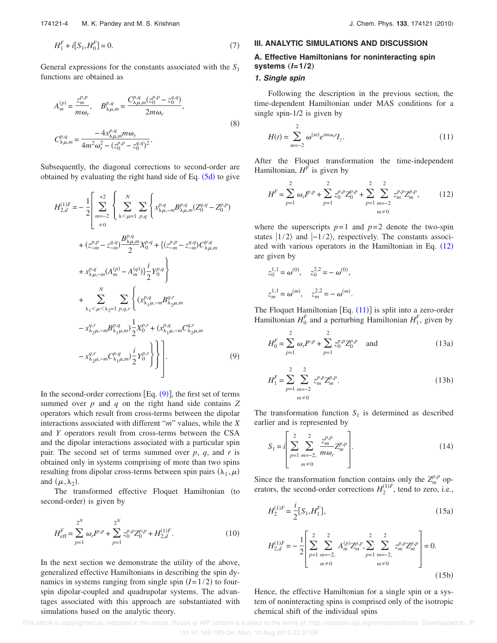General expressions for the constants associated with the *S*<sup>1</sup> functions are obtained as

$$
A_{m}^{(p)} = \frac{z_{m}^{p,p}}{m\omega_{r}}, \qquad B_{\lambda\mu,m}^{p,q} = \frac{C_{\lambda\mu,m}^{p,q}(z_{0}^{p,p} - z_{0}^{q,q})}{2m\omega_{r}},
$$
  

$$
C_{\lambda\mu,m}^{p,q} = \frac{-4x_{\lambda\mu,m}^{p,q}m\omega_{r}}{4m^{2}\omega_{r}^{2} - (z_{0}^{p,p} - z_{0}^{q,q})^{2}}.
$$
  
(8)

Subsequently, the diagonal corrections to second-order are obtained by evaluating the right hand side of Eq.  $(5d)$  to give

$$
H_{2,d}^{(1)F} = -\frac{1}{2} \left[ \sum_{m=-2}^{+2} \left\{ \sum_{\lambda \leq \mu=1}^{N} \sum_{p,q} \left\{ x_{\lambda\mu,-m}^{p,q} B_{\lambda\mu,m}^{p,q} (Z_0^{q,q} - Z_0^{p,p}) \right. \right. \\ \left. + (z_{-m}^{p,p} - z_{-m}^{q,q}) \frac{B_{\lambda\mu,m}^{p,q}}{2} X_0^{p,q} + \left\{ (z_{-m}^{p,p} - z_{-m}^{q,q}) C_{\lambda\mu,m}^{p,q} \right. \\ \left. + x_{\lambda\mu,-m}^{p,q} (A_m^{(p)} - A_m^{(q)}) \right\} \frac{i}{2} Y_0^{p,q} \right\} \\ \left. + \sum_{\lambda_1 \leq \mu \leq \lambda_2=1}^{N} \sum_{p,q,r} \left\{ (x_{\lambda_1\mu,-m}^{p,q} B_{\lambda_2\mu,m}^{q,r} - x_{\lambda_2\mu,-m}^{q,r} B_{\lambda_1\mu,m}^{q,r} - x_{\lambda_2\mu,-m}^{q,r} B_{\lambda_1\mu,m}^{p,q} \right. \\ \left. - x_{\lambda_2\mu,-m}^{q,r} B_{\lambda_1\mu,m}^{p,q} \right\} \frac{1}{2} X_0^{p,r} + (x_{\lambda_1\mu,-m}^{p,q} C_{\lambda_2\mu,m}^{q,r} - x_{\lambda_2\mu,-m}^{q,r} C_{\lambda_1\mu,m}^{p,q} \right) \left. (9) \right]
$$

In the second-order corrections  $Eq. (9)$ , the first set of terms summed over *p* and *q* on the right hand side contains *Z* operators which result from cross-terms between the dipolar interactions associated with different "*m*" values, while the *X* and *Y* operators result from cross-terms between the CSA and the dipolar interactions associated with a particular spin pair. The second set of terms summed over *p*, *q*, and *r* is obtained only in systems comprising of more than two spins resulting from dipolar cross-terms between spin pairs  $(\lambda_1, \mu)$ and  $(\mu, \lambda_2)$ .

The transformed effective Floquet Hamiltonian (to second-order) is given by

$$
H_{\text{eff}}^{F} = \sum_{p=1}^{2^{N}} \omega_{r} I^{p,p} + \sum_{p=1}^{2^{N}} z_{0}^{p,p} Z_{0}^{p,p} + H_{2,d}^{(1)F}.
$$
 (10)

In the next section we demonstrate the utility of the above, generalized effective Hamiltonians in describing the spin dynamics in systems ranging from single spin  $(I=1/2)$  to fourspin dipolar-coupled and quadrupolar systems. The advantages associated with this approach are substantiated with simulations based on the analytic theory.

# **III. ANALYTIC SIMULATIONS AND DISCUSSION**

# **A. Effective Hamiltonians for noninteracting spin systems**  $(I=1/2)$

#### **1. Single spin**

Following the description in the previous section, the time-dependent Hamiltonian under MAS conditions for a single spin-1/2 is given by

$$
H(t) = \sum_{m=-2}^{2} \omega^{(m)} e^{im\omega_r t} I_z.
$$
 (11)

After the Floquet transformation the time-independent Hamiltonian,  $H^F$  is given by

$$
H^{F} = \sum_{p=1}^{2} \omega_{r} I^{p,p} + \sum_{p=1}^{2} z_{0}^{p,p} Z_{0}^{p,p} + \sum_{p=1}^{2} \sum_{m=-2}^{2} z_{m}^{p,p} Z_{m}^{p,p}, \qquad (12)
$$

where the superscripts  $p=1$  and  $p=2$  denote the two-spin states  $|1/2\rangle$  and  $|-1/2\rangle$ , respectively. The constants associated with various operators in the Hamiltonian in Eq.  $(12)$ are given by

$$
z_0^{1,1} = \omega^{(0)}, \quad z_0^{2,2} = -\omega^{(0)},
$$
  
 $z_m^{1,1} = \omega^{(m)}, \quad z_m^{2,2} = -\omega^{(m)}.$ 

The Floquet Hamiltonian  $[Eq. (11)]$  is split into a zero-order Hamiltonian  $H_0^F$  and a perturbing Hamiltonian  $H_1^F$ , given by

$$
H_0^F = \sum_{p=1}^2 \omega_r I^{p,p} + \sum_{p=1}^2 z_0^{p,p} Z_0^{p,p} \quad \text{and} \tag{13a}
$$

$$
H_1^F = \sum_{p=1}^2 \sum_{\substack{m=-2 \ m \neq 0}}^2 z_m^{p,p} Z_m^{p,p}.
$$
 (13b)

The transformation function  $S_1$  is determined as described earlier and is represented by

$$
S_1 = i \left[ \sum_{p=1}^{2} \sum_{\substack{m=-2, \\ m \neq 0}}^{2} \frac{z_m^{p,p}}{m \omega_r} Z_m^{p,p} \right].
$$
 (14)

Since the transformation function contains only the  $Z_m^{p,p}$  operators, the second-order corrections  $H_2^{(1)F}$ , tend to zero, i.e.,

$$
H_2^{(1)F} = \frac{i}{2} [S_1, H_1^F], \tag{15a}
$$

$$
H_{2,d}^{(1)F} = -\frac{1}{2} \left[ \sum_{p=1}^{2} \sum_{m=-2, \atop m \neq 0}^{2} A_m^{(p)} Z_m^{p,p} \sum_{p=1}^{2} \sum_{m=-2, \atop m \neq 0}^{2} z_m^{p,p} Z_m^{p,p} \right] = 0.
$$
\n(15b)

Hence, the effective Hamiltonian for a single spin or a system of noninteracting spins is comprised only of the isotropic chemical shift of the individual spins

This article is copyrighted as indicated in the article. Reuse of AIP content is subject to the terms at: http://scitation.aip.org/termsconditions. Downloaded to IP: 131.91.169.193 On: Mon, 10 Aug 2015 22:37:06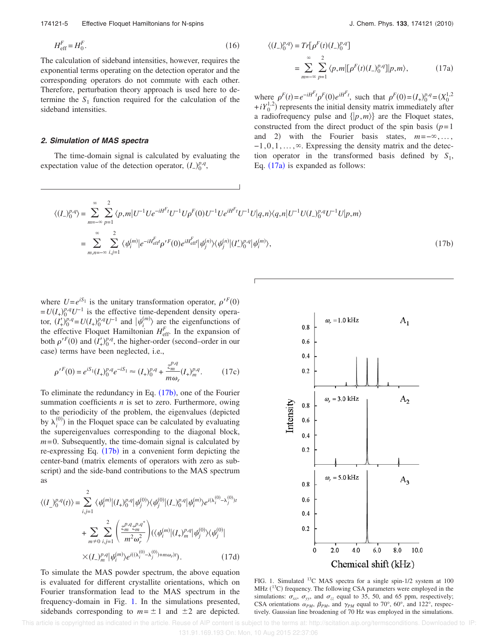174121-5 Effective Floquet Hamiltonians for N-spins

$$
H_{\text{eff}}^F = H_0^F. \tag{16}
$$

The calculation of sideband intensities, however, requires the exponential terms operating on the detection operator and the corresponding operators do not commute with each other. Therefore, perturbation theory approach is used here to determine the  $S_1$  function required for the calculation of the sideband intensities.

# **2. Simulation of MAS spectra**

The time-domain signal is calculated by evaluating the expectation value of the detection operator,  $(I_-)^{p,q}_{0}$ ,

$$
I_{-})_{0}^{p,q} \rangle = Tr[\rho^{F}(t)(I_{-})_{0}^{p,q}]
$$
  
= 
$$
\sum_{m=-\infty}^{\infty} \sum_{p=1}^{2} \langle p,m|[\rho^{F}(t)(I_{-})_{0}^{p,q}]|p,m\rangle,
$$
 (17a)

where  $\rho^F(t) = e^{-iH^F t} \rho^F(0) e^{iH^F t}$ , such that  $\rho^F(0) = (I_+)_0^{p,q} = (X_0^{1,2})$  $+iY_0^{1,2}$ ) represents the initial density matrix immediately after a radiofrequency pulse and  $\{|p,m\rangle\}$  are the Floquet states, constructed from the direct product of the spin basis  $(p=1)$ and 2) with the Fourier basis states,  $m=-\infty, \ldots,$  $-1,0,1,\ldots, \infty$ . Expressing the density matrix and the detection operator in the transformed basis defined by  $S_1$ , Eq.  $(17a)$  is expanded as follows:

$$
\langle (I_{-})_{0}^{p,q} \rangle = \sum_{m=-\infty}^{\infty} \sum_{p=1}^{2} \langle p,m | U^{-1} U e^{-iH^{F}t} U^{-1} U \rho^{F}(0) U^{-1} U e^{iH^{F}t} U^{-1} U | q,n \rangle \langle q,n | U^{-1} U (I_{-})_{0}^{p,q} U^{-1} U | p,m \rangle
$$
  

$$
= \sum_{m,n=-\infty}^{\infty} \sum_{i,j=1}^{2} \langle \psi_{i}^{(m)} | e^{-iH^{F}_{\text{eff}}t} \rho^{\prime F}(0) e^{iH^{F}_{\text{eff}}t} | \psi_{j}^{(n)} \rangle \langle \psi_{j}^{(n)} | (I_{-})_{0}^{p,q} | \psi_{i}^{(m)} \rangle, \tag{17b}
$$

 $\langle ($ 

where  $U = e^{iS_1}$  is the unitary transformation operator,  $\rho^{\prime F}(0)$  $= U(I_+)_{0}^{p,q}U^{-1}$  is the effective time-dependent density operator,  $(I'_+)^{p,q}_0 = U(I_+)^{p,q}_0 U^{-1}$  and  $|\psi_i^{(m)}\rangle$  are the eigenfunctions of the effective Floquet Hamiltonian  $H_{\text{eff}}^F$ . In the expansion of both  $\rho^{\prime F}(0)$  and  $(I_+^{\prime})_0^{p,q}$ , the higher-order (second–order in our case) terms have been neglected, i.e.,

$$
\rho'^{F}(0) = e^{iS_1}(I_+)_{0}^{p,q}e^{-iS_1} \approx (I_+)_{0}^{p,q} + \frac{z_{m}^{p,q}}{m\omega_{r}}(I_+)_{m}^{p,q}.
$$
 (17c)

To eliminate the redundancy in Eq. (17b), one of the Fourier summation coefficients *n* is set to zero. Furthermore, owing to the periodicity of the problem, the eigenvalues (depicted by  $\lambda_i^{(0)}$  in the Floquet space can be calculated by evaluating the supereigenvalues corresponding to the diagonal block, *m*=0. Subsequently, the time-domain signal is calculated by re-expressing Eq. (17b) in a convenient form depicting the center-band (matrix elements of operators with zero as subscript) and the side-band contributions to the MAS spectrum as

$$
\langle (I_{-})_{0}^{p,q}(t) \rangle = \sum_{i,j=1}^{2} \langle \psi_{i}^{(m)} | (I_{+})_{0}^{p,q} | \psi_{j}^{(0)} \rangle \langle \psi_{j}^{(0)} | (I_{-})_{0}^{p,q} | \psi_{i}^{(m)} \rangle e^{i(\lambda_{i}^{(0)} - \lambda_{j}^{(0)})t} + \sum_{m \neq 0} \sum_{i,j=1}^{2} \left( \frac{z_{m}^{p,q} z_{m}^{p,q}}{m^{2} \omega_{r}^{2}} \right) (\langle \psi_{i}^{(m)} | (I_{+})_{m}^{p,q} | \psi_{j}^{(0)} \rangle \langle \psi_{j}^{(0)} | \times (I_{-})_{m}^{p,q} | \psi_{i}^{(m)} \rangle e^{i(\lambda_{i}^{(0)} - \lambda_{j}^{(0)}) + m \omega_{r})t}.
$$
 (17d)

To simulate the MAS powder spectrum, the above equation is evaluated for different crystallite orientations, which on Fourier transformation lead to the MAS spectrum in the frequency-domain in Fig. 1. In the simulations presented, sidebands corresponding to  $m = \pm 1$  and  $\pm 2$  are depicted.



FIG. 1. Simulated <sup>13</sup>C MAS spectra for a single spin-1/2 system at 100 MHz  $(^{13}C)$  frequency. The following CSA parameters were employed in the simulations:  $\sigma_{xx}$ ,  $\sigma_{yy}$ , and  $\sigma_{zz}$  equal to 35, 50, and 65 ppm, respectively; CSA orientations  $\alpha_{PM}$ ,  $\beta_{PM}$ , and  $\gamma_{PM}$  equal to 70°, 60°, and 122°, respectively. Gaussian line broadening of 70 Hz was employed in the simulations.

 This article is copyrighted as indicated in the article. Reuse of AIP content is subject to the terms at: http://scitation.aip.org/termsconditions. Downloaded to IP: 131.91.169.193 On: Mon, 10 Aug 2015 22:37:06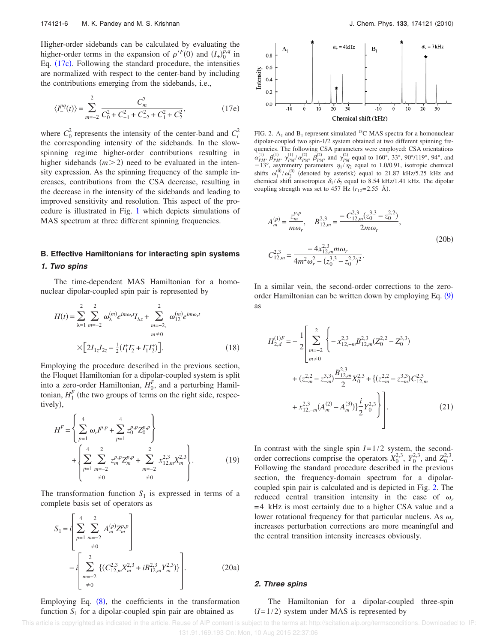Higher-order sidebands can be calculated by evaluating the higher-order terms in the expansion of  $\rho^{\prime F}(0)$  and  $(I_+)_{0}^{p,q}$  in Eq. (17c). Following the standard procedure, the intensities are normalized with respect to the center-band by including the contributions emerging from the sidebands, i.e.,

$$
\langle I_{-}^{pq}(t) \rangle = \sum_{m=-2}^{2} \frac{C_m^2}{C_0^2 + C_{-1}^2 + C_{-2}^2 + C_1^2 + C_2^2},
$$
(17e)

where  $C_0^2$  represents the intensity of the center-band and  $C_i^2$ the corresponding intensity of the sidebands. In the slowspinning regime higher-order contributions resulting in higher sidebands  $(m>2)$  need to be evaluated in the intensity expression. As the spinning frequency of the sample increases, contributions from the CSA decrease, resulting in the decrease in the intensity of the sidebands and leading to improved sensitivity and resolution. This aspect of the procedure is illustrated in Fig. 1 which depicts simulations of MAS spectrum at three different spinning frequencies.

# **B. Effective Hamiltonians for interacting spin systems 1. Two spins**

The time-dependent MAS Hamiltonian for a homonuclear dipolar-coupled spin pair is represented by

$$
H(t) = \sum_{\lambda=1}^{2} \sum_{m=-2}^{2} \omega_{\lambda}^{(m)} e^{im\omega_{r}t} I_{\lambda z} + \sum_{m=-2}^{2} \omega_{12}^{(m)} e^{im\omega_{r}t}
$$

$$
\times \left[ 2I_{1z} I_{2z} - \frac{1}{2} (I_{1}^{+} I_{2}^{-} + I_{1} I_{2}^{+}) \right].
$$
 (18)

Employing the procedure described in the previous section, the Floquet Hamiltonian for a dipolar-coupled system is split into a zero-order Hamiltonian,  $H_0^F$ , and a perturbing Hamiltonian,  $H_1^F$  (the two groups of terms on the right side, respectively,

$$
H^{F} = \left\{ \sum_{p=1}^{4} \omega_{r} I^{p,p} + \sum_{p=1}^{4} z_{0}^{p,p} Z_{0}^{p,p} \right\}
$$
  
+ 
$$
\left\{ \sum_{p=1}^{4} \sum_{\substack{m=-2 \\ m=2}}^{2} z_{m}^{p,p} Z_{m}^{p,p} + \sum_{\substack{m=-2 \\ m=2}}^{2} x_{12,m}^{2,3} X_{m}^{2,3} \right\}.
$$
 (19)

The transformation function  $S_1$  is expressed in terms of a complete basis set of operators as

$$
S_1 = i \left[ \sum_{p=1}^{4} \sum_{m=-2}^{2} A_m^{(p)} Z_m^{p,p} \right] - i \left[ \sum_{m=-2}^{2} \left\{ (C_{12,m}^{2,3} X_m^{2,3} + i B_{12,m}^{2,3} Y_m^{2,3}) \right\} \right].
$$
 (20a)

Employing Eq.  $(8)$ , the coefficients in the transformation function  $S_1$  for a dipolar-coupled spin pair are obtained as



FIG. 2.  $A_1$  and  $B_1$  represent simulated <sup>13</sup>C MAS spectra for a homonuclear dipolar-coupled two spin-1/2 system obtained at two different spinning frequencies. The following CSA parameters were employed: CSA orientations  $\alpha_{PM}^{(1)}$ ,  $\beta_{PM}^{(1)}$ ,  $\gamma_{PM}^{(1)}/\alpha_{PM}^{(2)}$ ,  $\beta_{PM}^{(2)}$ , and  $\gamma_{PM}^{(2)}$  equal to 160°, 33°, 90°/119°, 94°, and  $-13^\circ$ , asymmetry parameters  $\eta_1/\eta_2$  equal to 1.0/0.91, isotropic chemical shifts  $\omega_1^{(0)}/\omega_2^{(0)}$  (denoted by asterisk) equal to 21.87 kHz/5.25 kHz and chemical shift anisotropies  $\delta_1/\delta_2$  equal to 8.54 kHz/1.41 kHz. The dipolar coupling strength was set to 457 Hz  $(r_{12}=2.55 \text{ A}).$ 

$$
A_m^{(p)} = \frac{z_m^{p,p}}{m\omega_r}, \qquad B_{12,m}^{2,3} = \frac{-C_{12,m}^{2,3}(z_0^{3,3} - z_0^{2,2})}{2m\omega_r},
$$
  

$$
C_{12,m}^{2,3} = \frac{-4x_{12,m}^{2,3}m\omega_r}{4m^2\omega_r^2 - (z_0^{3,3} - z_0^{2,2})^2}.
$$
 (20b)

In a similar vein, the second-order corrections to the zeroorder Hamiltonian can be written down by employing Eq. (9) as

$$
H_{2,d}^{(1)F} = -\frac{1}{2} \left[ \sum_{m=-2}^{2} \left\{ -x_{12,-m}^{2,3} B_{12,m}^{2,3} (Z_0^{2,2} - Z_0^{3,3}) + (z_{-m}^{2,2} - z_{-m}^{3,3}) \frac{B_{12,m}^{2,3}}{2} X_0^{2,3} + \left\{ (z_{-m}^{2,2} - z_{-m}^{3,3}) C_{12,m}^{2,3} + x_{12,-m}^{2,3} (A_m^{(2)} - A_m^{(3)}) \right\} \frac{i}{2} Y_0^{2,3} \right\} \right].
$$
 (21)

In contrast with the single spin *I*=1/2 system, the secondorder corrections comprise the operators  $X_0^{2,3}$ ,  $Y_0^{2,3}$ , and  $Z_0^{2,3}$ . Following the standard procedure described in the previous section, the frequency-domain spectrum for a dipolarcoupled spin pair is calculated and is depicted in Fig. 2. The reduced central transition intensity in the case of  $\omega_r$ =4 kHz is most certainly due to a higher CSA value and a lower rotational frequency for that particular nucleus. As  $\omega_r$ increases perturbation corrections are more meaningful and the central transition intensity increases obviously.

# **2. Three spins**

The Hamiltonian for a dipolar-coupled three-spin  $(I=1/2)$  system under MAS is represented by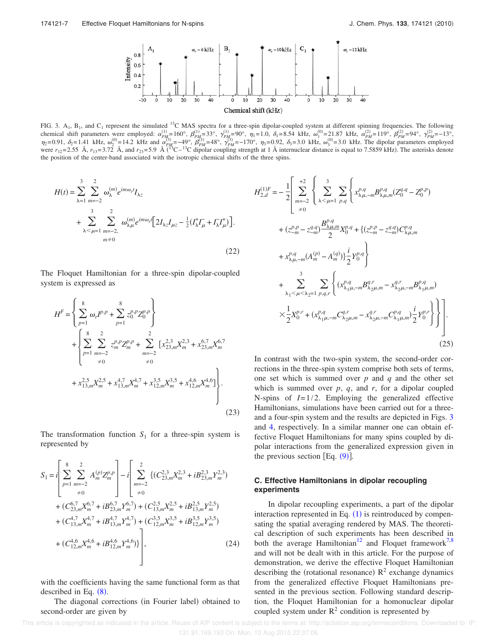

FIG. 3.  $A_1$ ,  $B_1$ , and  $C_1$  represent the simulated <sup>13</sup>C MAS spectra for a three-spin dipolar-coupled system at different spinning frequencies. The following chemical shift parameters were employed:  $\alpha_{PM_2}^{(1)} = 160^\circ$ ,  $\beta_{PM_2}^{(1)} = 33^\circ$ ,  $\gamma_{PM_2}^{(1)} = 90^\circ$ ,  $\eta_1 = 1.0$ ,  $\delta_1 = 8.54$  kHz,  $\alpha_1^{(0)} = 21.87$  kHz,  $\alpha_{PM}^{(2)} = 119^\circ$ ,  $\beta_{PM}^{(2)} = 94^\circ$ ,  $\gamma_{PM}^{(2)} = -13^\circ$ ,  $\eta_2 = 0.91$ ,  $\delta_2 = 1.41$  kHz,  $\omega_2^{(0)} = 14.2$  kHz and  $\alpha_{PM}^{(3)} = -49^\circ$ ,  $\beta_{PM}^{(3)} = 48^\circ$ ,  $\gamma_{PM}^{(3)} = -170^\circ$ ,  $\eta_3 = 0.92$ ,  $\delta_3 = 3.0$  kHz,  $\omega_3^{(0)} = 3.0$  kHz. The dipolar parameters employed were  $r_{12}$ =2.55 Å,  $r_{13}$ =3.72 Å, and  $r_{23}$ =5.9 Å (<sup>13</sup>C-<sup>13</sup>C dipolar coupling strength at 1 Å internuclear distance is equal to 7.5859 kHz). The asterisks denote the position of the center-band associated with the isotropic chemical shifts of the three spins.

*H*2,*<sup>d</sup>*

$$
H(t) = \sum_{\lambda=1}^{3} \sum_{m=-2}^{2} \omega_{\lambda}^{(m)} e^{im\omega_{r}t} I_{\lambda z}
$$
  
+ 
$$
\sum_{\lambda < \mu=1}^{3} \sum_{m=-2}^{2} \omega_{\lambda\mu}^{(m)} e^{im\omega_{r}t} \Big[ 2I_{\lambda z} I_{\mu z} - \frac{1}{2} (I_{\lambda}^{+} I_{\mu} + I_{\lambda} I_{\mu}^{+}) \Big].
$$
  

$$
m \neq 0
$$
 (22)

The Floquet Hamiltonian for a three-spin dipolar-coupled system is expressed as

$$
H^{F} = \left\{ \sum_{p=1}^{8} \omega_{r} I^{p,p} + \sum_{p=1}^{8} z_{0}^{p,p} Z_{0}^{p,p} \right\}
$$
  
+ 
$$
\left\{ \sum_{p=1}^{8} \sum_{m=-2}^{2} z_{m}^{p,p} Z_{m}^{p,p} + \sum_{m=-2}^{2} \left[ x_{23,m}^{2,3} X_{m}^{2,3} + x_{23,m}^{6,7} X_{m}^{6,7} + 0 \right] + x_{13,m}^{2,5} X_{m}^{2,5} + x_{13,m}^{4,7} X_{m}^{4,7} + x_{12,m}^{3,5} X_{m}^{3,5} + x_{12,m}^{4,6} X_{m}^{4,6} \right\}. \tag{23}
$$

The transformation function  $S_1$  for a three-spin system is represented by

$$
S_{1} = i \left[ \sum_{p=1}^{8} \sum_{m=-2}^{2} A_{m}^{(p)} Z_{m}^{p,p} \right] - i \left[ \sum_{m=-2}^{2} \left\{ (C_{23,m}^{2,3} X_{m}^{2,3} + i B_{23,m}^{2,3} Y_{m}^{2,3}) \right. \\ + (C_{23,m}^{6,7} X_{m}^{6,7} + i B_{23,m}^{6,7} Y_{m}^{6,7}) + (C_{13,m}^{2,5} X_{m}^{2,5} + i B_{13,m}^{2,5} Y_{m}^{2,5}) \\ + (C_{13,m}^{4,7} X_{m}^{4,7} + i B_{13,m}^{4,7} Y_{m}^{4,7}) + (C_{12,m}^{3,5} X_{m}^{3,5} + i B_{12,m}^{3,5} Y_{m}^{3,5}) \\ + (C_{12,m}^{4,6} X_{m}^{4,6} + i B_{12,m}^{4,6} Y_{m}^{4,6}) \right], \tag{24}
$$

with the coefficients having the same functional form as that described in Eq.  $(8)$ .

The diagonal corrections (in Fourier label) obtained to second-order are given by

$$
f_{2,d}^{(1)F} = -\frac{1}{2} \left[ \sum_{m=-2}^{+2} \left\{ \sum_{\lambda \leq \mu=1}^{3} \sum_{p,q} \left\{ x_{\lambda\mu,-m}^{p,q} B_{\lambda\mu,m}^{p,q} (Z_0^{q,q} - Z_0^{p,p}) \right. \right. \\ \left. + \left. (z_{-m}^{p,p} - z_{-m}^{q,q}) \frac{B_{\lambda\mu,m}^{p,q}}{2} X_0^{p,q} + \left\{ (z_{-m}^{p,p} - z_{-m}^{q,q}) C_{\lambda\mu,m}^{p,q} \right. \right. \\ \left. + \left. x_{\lambda\mu,-m}^{p,q} (A_m^{(p)} - A_m^{(q)}) \right\} \frac{i}{2} Y_0^{p,q} \right\} \\ \left. + \sum_{\lambda_1 \leq \mu \leq \lambda_2=1}^{3} \sum_{p,q,r} \left\{ (x_{\lambda_1\mu,-m}^{p,q} B_{\lambda_2\mu,m}^{q,r} - x_{\lambda_2\mu,-m}^{q,r} B_{\lambda_1\mu,m}^{p,q}) \right. \\ \left. \times \frac{1}{2} X_0^{p,r} + (x_{\lambda_1\mu,-m}^{p,q} C_{\lambda_2\mu,m}^{q,r} - x_{\lambda_2\mu,-m}^{q,r} C_{\lambda_1\mu,m}^{p,q} ) \frac{i}{2} Y_0^{p,r} \right\} \right]. \tag{25}
$$

In contrast with the two-spin system, the second-order corrections in the three-spin system comprise both sets of terms, one set which is summed over *p* and *q* and the other set which is summed over  $p$ ,  $q$ , and  $r$ , for a dipolar coupled N-spins of *I*=1/2. Employing the generalized effective Hamiltonians, simulations have been carried out for a threeand a four-spin system and the results are depicted in Figs. 3 and 4, respectively. In a similar manner one can obtain effective Floquet Hamiltonians for many spins coupled by dipolar interactions from the generalized expression given in the previous section [Eq.  $(9)$ ].

# **C. Effective Hamiltonians in dipolar recoupling experiments**

In dipolar recoupling experiments, a part of the dipolar interaction represented in Eq.  $(1)$  is reintroduced by compensating the spatial averaging rendered by MAS. The theoretical description of such experiments has been described in both the average Hamiltonian<sup>12</sup> and Floquet framework<sup>7,8</sup> and will not be dealt with in this article. For the purpose of demonstration, we derive the effective Floquet Hamiltonian describing the (rotational resonance)  $R^2$  exchange dynamics from the generalized effective Floquet Hamiltonians presented in the previous section. Following standard description, the Floquet Hamiltonian for a homonuclear dipolar coupled system under  $R^2$  condition is represented by

 This article is copyrighted as indicated in the article. Reuse of AIP content is subject to the terms at: http://scitation.aip.org/termsconditions. Downloaded to IP: 131.91.169.193 On: Mon, 10 Aug 2015 22:37:06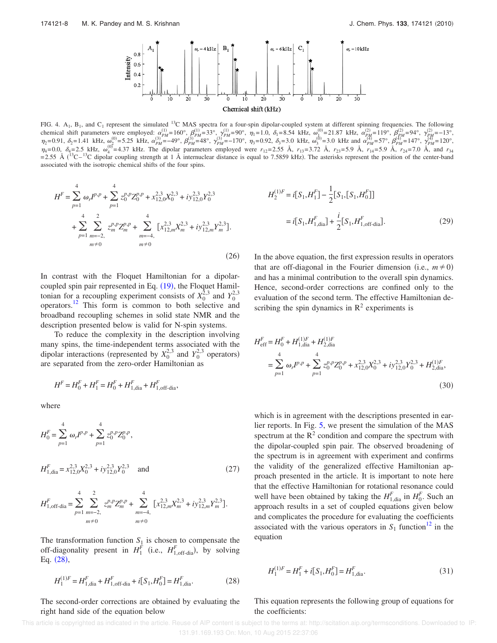

FIG. 4.  $A_1$ ,  $B_1$ , and  $C_1$  represent the simulated <sup>13</sup>C MAS spectra for a four-spin dipolar-coupled system at different spinning frequencies. The following chemical shift parameters were employed:  $\alpha_{PM}^{(1)} = 160^\circ$ ,  $\beta_{PM}^{(1)} = 33^\circ$ ,  $\gamma_{PM}^{(1)} = 90^\circ$ ,  $\eta_1 = 1.0$ ,  $\delta_1 = 8.54$  kHz,  $\omega_{\lambda}^{(0)} = 21.87$  kHz,  $\alpha_{PM}^{(2)} = 119^\circ$ ,  $\beta_{RM}^{(2)} = 94^\circ$ ,  $\gamma_{PM}^{(2)} = -13^\circ$ ,  $\eta_2 = 0.91$ ,  $\delta_2 = 1.41$  kHz,  $\omega_{\text{C}}^{(0)} = 5.25$  kHz,  $\alpha_{PM}^{(3)} = -49^\circ$ ,  $\beta_{PM}^{(3)} = 48^\circ$ ,  $\gamma_{PM}^{(3)} = -170^\circ$ ,  $\eta_3 = 0.92$ ,  $\delta_3 = 3.0$  kHz,  $\omega_{\text{S}}^{(0)} = 3.0$  kHz and  $\alpha_{PM}^{(4)} = 57^\circ$ ,  $\beta_{PM}^{(4)} = 147^\circ$ ,  $\gamma_{PM}^{$  $\eta_4 = 0.0$ ,  $\delta_4 = 2.5$  kHz,  $\omega_4^{(0)} = 4.37$  kHz. The dipolar parameters employed were  $r_{12} = 2.55$  Å,  $r_{13} = 3.72$  Å,  $r_{23} = 5.9$  Å,  $r_{14} = 5.9$  Å,  $r_{24} = 7.0$  Å, and  $r_{34}$  $=$  2.55 Å ( $^{13}$ C $^{13}$ C dipolar coupling strength at 1 Å internuclear distance is equal to 7.5859 kHz). The asterisks represent the position of the center-band associated with the isotropic chemical shifts of the four spins.

$$
H^{F} = \sum_{p=1}^{4} \omega_{r} I^{p,p} + \sum_{p=1}^{4} z_{0}^{p,p} Z_{0}^{p,p} + x_{12,0}^{2,3} X_{0}^{2,3} + iy_{12,0}^{2,3} Y_{0}^{2,3}
$$
  
+ 
$$
\sum_{p=1}^{4} \sum_{m=-2, \atop m \neq 0}^{2} z_{m}^{p,p} Z_{m}^{p,p} + \sum_{m=-4, \atop m \neq 0}^{4} [x_{12,m}^{2,3} X_{m}^{2,3} + iy_{12,m}^{2,3} Y_{m}^{2,3}].
$$
  
(26)

In contrast with the Floquet Hamiltonian for a dipolarcoupled spin pair represented in Eq.  $(19)$ , the Floquet Hamiltonian for a recoupling experiment consists of  $X_0^{2,3}$  and  $Y_0^{2,3}$ operators.<sup>12</sup> This form is common to both selective and broadband recoupling schemes in solid state NMR and the description presented below is valid for N-spin systems.

To reduce the complexity in the description involving many spins, the time-independent terms associated with the dipolar interactions (represented by  $X_0^{2,3}$  and  $Y_0^{2,3}$  operators) are separated from the zero-order Hamiltonian as

$$
H^F = H_0^F + H_1^F = H_0^F + H_{1,\text{dia}}^F + H_{1,\text{off-diab}}^F,
$$

where

$$
H_0^F = \sum_{p=1}^4 \omega_r I^{p,p} + \sum_{p=1}^4 z_0^{p,p} Z_0^{p,p},
$$
  

$$
H_{1,dia}^F = x_{12,0}^{2,3} X_0^{2,3} + i y_{12,0}^{2,3} Y_0^{2,3} \text{ and}
$$
 (27)

$$
H_{1,\text{off-di}}^{F} = \sum_{p=1}^{4} \sum_{m=-2, \atop m \neq 0}^{2} z_m^{p,p} Z_m^{p,p} + \sum_{m=-4, \atop m \neq 0}^{4} [x_{12,m}^{2,3} X_m^{2,3} + iy_{12,m}^{2,3} Y_m^{2,3}].
$$

The transformation function  $S_1$  is chosen to compensate the off-diagonality present in  $H_1^F$  (i.e.,  $H_{1,\text{off-diab}}^F$ ), by solving Eq. (28),

$$
H_1^{(1)F} = H_{1,\text{dia}}^F + H_{1,\text{off-diab}}^F + i[S_1, H_0^F] = H_{1,\text{dia}}^F.
$$
 (28)

The second-order corrections are obtained by evaluating the right hand side of the equation below

$$
H_2^{(1)F} = i[S_1, H_1^F] - \frac{1}{2} [S_1, [S_1, H_0^F]]
$$
  
=  $i[S_1, H_{1,\text{dia}}^F] + \frac{i}{2} [S_1, H_{1,\text{off-dia}}^F].$  (29)

In the above equation, the first expression results in operators that are off-diagonal in the Fourier dimension (i.e.,  $m \neq 0$ ) and has a minimal contribution to the overall spin dynamics. Hence, second-order corrections are confined only to the evaluation of the second term. The effective Hamiltonian describing the spin dynamics in  $\mathbb{R}^2$  experiments is

$$
H_{\text{eff}}^{F} = H_{0}^{F} + H_{1,\text{dia}}^{(1)F} + H_{2,\text{dia}}^{(1)F}
$$
  
= 
$$
\sum_{p=1}^{4} \omega_{r} I^{p,p} + \sum_{p=1}^{4} z_{0}^{p,p} Z_{0}^{p,p} + x_{12,0}^{2,3} X_{0}^{2,3} + i y_{12,0}^{2,3} Y_{0}^{2,3} + H_{2,\text{dia}}^{(1)F},
$$
  
(30)

which is in agreement with the descriptions presented in earlier reports. In Fig. 5, we present the simulation of the MAS spectrum at the  $R<sup>2</sup>$  condition and compare the spectrum with the dipolar-coupled spin pair. The observed broadening of the spectrum is in agreement with experiment and confirms the validity of the generalized effective Hamiltonian approach presented in the article. It is important to note here that the effective Hamiltonian for rotational resonance could well have been obtained by taking the  $H_{1,\text{dia}}^F$  in  $H_0^F$ . Such an approach results in a set of coupled equations given below and complicates the procedure for evaluating the coefficients associated with the various operators in  $S_1$  function<sup>12</sup> in the equation

$$
H_1^{(1)F} = H_1^F + i[S_1, H_0^F] = H_{1,\text{dia}}^F.
$$
\n(31)

This equation represents the following group of equations for the coefficients:

This article is copyrighted as indicated in the article. Reuse of AIP content is subject to the terms at: http://scitation.aip.org/termsconditions. Downloaded to IP: 131.91.169.193 On: Mon, 10 Aug 2015 22:37:06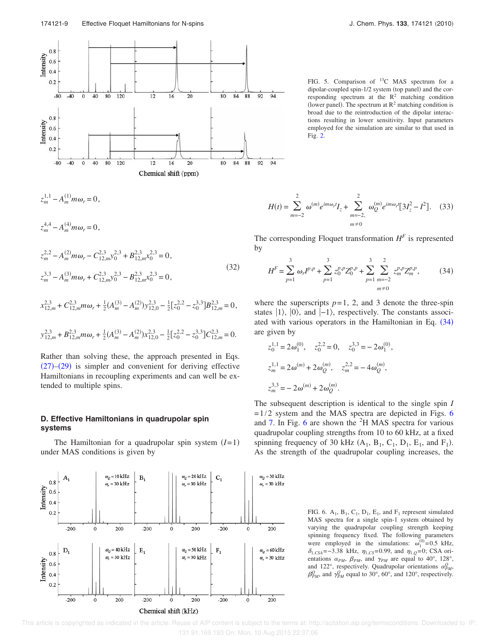

 $z_m^{1,1} - A_m^{(1)} m \omega_r = 0$ ,

 $z_m^{4,4} - A_m^{(4)} m \omega_r = 0$ ,

$$
z_m^{2,2} - A_m^{(2)} m \omega_r - C_{12,m}^{2,3} y_0^{2,3} + B_{12,m}^{2,3} x_0^{2,3} = 0,
$$
  
\n
$$
z_m^{3,3} - A_m^{(3)} m \omega_r + C_{12,m}^{2,3} y_0^{2,3} - B_{12,m}^{2,3} x_0^{2,3} = 0,
$$
\n(32)

$$
x_{12,m}^{2,3} + C_{12,m}^{2,3} m \omega_r + \frac{1}{2} (A_m^{(3)} - A_m^{(2)}) y_{12,0}^{2,3} - \frac{1}{2} [z_0^{2,2} - z_0^{3,3}] B_{12,m}^{2,3} = 0,
$$

$$
y_{12,m}^{2,3} + B_{12,m}^{2,3} m \omega_r + \frac{1}{2} (A_m^{(3)} - A_m^{(2)}) x_{12,0}^{2,3} - \frac{1}{2} [z_0^{2,2} - z_0^{3,3}] C_{12,m}^{2,3} = 0.
$$

Rather than solving these, the approach presented in Eqs.  $(27)$ – $(29)$  is simpler and convenient for deriving effective Hamiltonians in recoupling experiments and can well be extended to multiple spins.

# **D. Effective Hamiltonians in quadrupolar spin systems**

The Hamiltonian for a quadrupolar spin system  $(I=1)$ under MAS conditions is given by



FIG. 5. Comparison of <sup>13</sup>C MAS spectrum for a dipolar-coupled spin-1/2 system (top panel) and the corresponding spectrum at the  $R^2$  matching condition (lower panel). The spectrum at  $R^2$  matching condition is broad due to the reintroduction of the dipolar interactions resulting in lower sensitivity. Input parameters employed for the simulation are similar to that used in Fig. 2.

$$
H(t) = \sum_{m=-2}^{2} \omega^{(m)} e^{im\omega_r t} I_z + \sum_{m=-2}^{2} \omega^{(m)}_Q e^{im\omega_r t} [3I_z^2 - I^2].
$$
 (33)

The corresponding Floquet transformation  $H<sup>F</sup>$  is represented by

$$
H^{F} = \sum_{p=1}^{3} \omega_{p} I^{p,p} + \sum_{p=1}^{3} z_{0}^{p,p} Z_{0}^{p,p} + \sum_{p=1}^{3} \sum_{m=-2}^{2} z_{m}^{p,p} Z_{m}^{p,p}, \qquad (34)
$$

where the superscripts  $p=1$ , 2, and 3 denote the three-spin states  $|1\rangle$ ,  $|0\rangle$ , and  $|-1\rangle$ , respectively. The constants associated with various operators in the Hamiltonian in Eq.  $(34)$ are given by

,

$$
z_0^{1,1} = 2\omega_1^{(0)}, \quad z_0^{2,2} = 0, \quad z_0^{3,3} = -2\omega_1^{(0)}
$$
  

$$
z_m^{1,1} = 2\omega^{(m)} + 2\omega_Q^{(m)}, \quad z_m^{2,2} = -4\omega_Q^{(m)},
$$
  

$$
z_m^{3,3} = -2\omega^{(m)} + 2\omega_Q^{(m)}.
$$

The subsequent description is identical to the single spin *I*  $=1/2$  system and the MAS spectra are depicted in Figs. 6 and 7. In Fig. 6 are shown the  ${}^{2}H$  MAS spectra for various quadrupolar coupling strengths from 10 to 60 kHz, at a fixed spinning frequency of 30 kHz  $(A_1, B_1, C_1, D_1, E_1, and F_1)$ . As the strength of the quadrupolar coupling increases, the

> FIG. 6.  $A_1$ ,  $B_1$ ,  $C_1$ ,  $D_1$ ,  $E_1$ , and  $F_1$  represent simulated MAS spectra for a single spin-1 system obtained by varying the quadrupolar coupling strength keeping spinning frequency fixed. The following parameters were employed in the simulations:  $\omega_1^{(0)} = 0.5$  kHz,  $\delta_{1,CSA}$ =−3.38 kHz,  $\eta_{1,CS}$ =0.99, and  $\eta_{1,Q}$ =0; CSA orientations  $\alpha_{PM}$ ,  $\beta_{PM}$ , and  $\gamma_{PM}$  are equal to 40°, 128°, and 122°, respectively. Quadrupolar orientations  $\alpha_{PM}^Q$ ,  $\beta_{PM}^Q$ , and  $\gamma_{PM}^Q$  equal to 30°, 60°, and 120°, respectively.

 This article is copyrighted as indicated in the article. Reuse of AIP content is subject to the terms at: http://scitation.aip.org/termsconditions. Downloaded to IP: 131.91.169.193 On: Mon, 10 Aug 2015 22:37:06